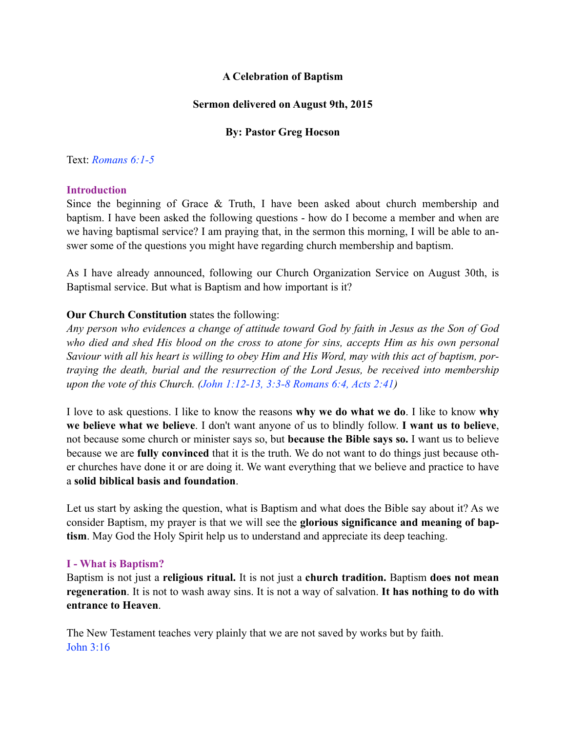# **A Celebration of Baptism**

## **Sermon delivered on August 9th, 2015**

# **By: Pastor Greg Hocson**

## Text: *Romans 6:1-5*

## **Introduction**

Since the beginning of Grace  $\&$  Truth, I have been asked about church membership and baptism. I have been asked the following questions - how do I become a member and when are we having baptismal service? I am praying that, in the sermon this morning, I will be able to answer some of the questions you might have regarding church membership and baptism.

As I have already announced, following our Church Organization Service on August 30th, is Baptismal service. But what is Baptism and how important is it?

# **Our Church Constitution** states the following:

*Any person who evidences a change of attitude toward God by faith in Jesus as the Son of God who died and shed His blood on the cross to atone for sins, accepts Him as his own personal Saviour with all his heart is willing to obey Him and His Word, may with this act of baptism, portraying the death, burial and the resurrection of the Lord Jesus, be received into membership upon the vote of this Church. (John 1:12-13, 3:3-8 Romans 6:4, Acts 2:41)* 

I love to ask questions. I like to know the reasons **why we do what we do**. I like to know **why we believe what we believe**. I don't want anyone of us to blindly follow. **I want us to believe**, not because some church or minister says so, but **because the Bible says so.** I want us to believe because we are **fully convinced** that it is the truth. We do not want to do things just because other churches have done it or are doing it. We want everything that we believe and practice to have a **solid biblical basis and foundation**.

Let us start by asking the question, what is Baptism and what does the Bible say about it? As we consider Baptism, my prayer is that we will see the **glorious significance and meaning of baptism**. May God the Holy Spirit help us to understand and appreciate its deep teaching.

## **I - What is Baptism?**

Baptism is not just a **religious ritual.** It is not just a **church tradition.** Baptism **does not mean regeneration**. It is not to wash away sins. It is not a way of salvation. **It has nothing to do with entrance to Heaven**.

The New Testament teaches very plainly that we are not saved by works but by faith. John 3:16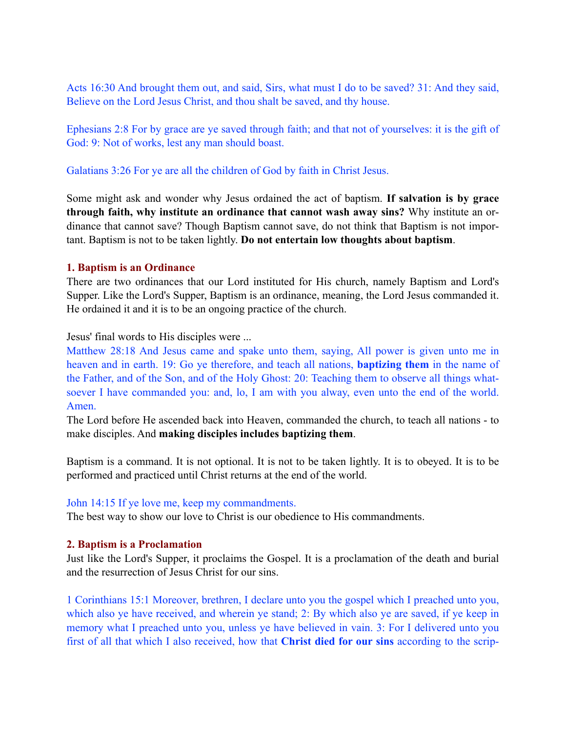Acts 16:30 And brought them out, and said, Sirs, what must I do to be saved? 31: And they said, Believe on the Lord Jesus Christ, and thou shalt be saved, and thy house.

Ephesians 2:8 For by grace are ye saved through faith; and that not of yourselves: it is the gift of God: 9: Not of works, lest any man should boast.

Galatians 3:26 For ye are all the children of God by faith in Christ Jesus.

Some might ask and wonder why Jesus ordained the act of baptism. **If salvation is by grace through faith, why institute an ordinance that cannot wash away sins?** Why institute an ordinance that cannot save? Though Baptism cannot save, do not think that Baptism is not important. Baptism is not to be taken lightly. **Do not entertain low thoughts about baptism**.

## **1. Baptism is an Ordinance**

There are two ordinances that our Lord instituted for His church, namely Baptism and Lord's Supper. Like the Lord's Supper, Baptism is an ordinance, meaning, the Lord Jesus commanded it. He ordained it and it is to be an ongoing practice of the church.

Jesus' final words to His disciples were ...

Matthew 28:18 And Jesus came and spake unto them, saying, All power is given unto me in heaven and in earth. 19: Go ye therefore, and teach all nations, **baptizing them** in the name of the Father, and of the Son, and of the Holy Ghost: 20: Teaching them to observe all things whatsoever I have commanded you: and, lo, I am with you alway, even unto the end of the world. Amen.

The Lord before He ascended back into Heaven, commanded the church, to teach all nations - to make disciples. And **making disciples includes baptizing them**.

Baptism is a command. It is not optional. It is not to be taken lightly. It is to obeyed. It is to be performed and practiced until Christ returns at the end of the world.

## John 14:15 If ye love me, keep my commandments.

The best way to show our love to Christ is our obedience to His commandments.

## **2. Baptism is a Proclamation**

Just like the Lord's Supper, it proclaims the Gospel. It is a proclamation of the death and burial and the resurrection of Jesus Christ for our sins.

1 Corinthians 15:1 Moreover, brethren, I declare unto you the gospel which I preached unto you, which also ye have received, and wherein ye stand; 2: By which also ye are saved, if ye keep in memory what I preached unto you, unless ye have believed in vain. 3: For I delivered unto you first of all that which I also received, how that **Christ died for our sins** according to the scrip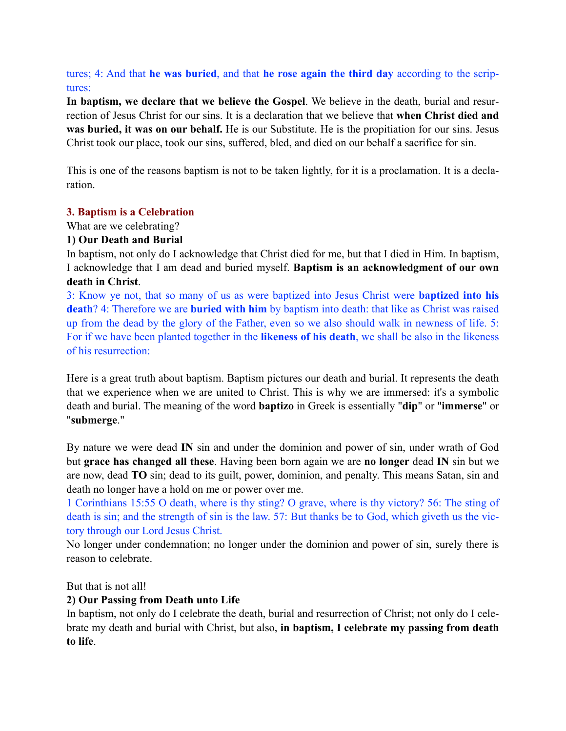tures; 4: And that **he was buried**, and that **he rose again the third day** according to the scriptures:

**In baptism, we declare that we believe the Gospel**. We believe in the death, burial and resurrection of Jesus Christ for our sins. It is a declaration that we believe that **when Christ died and was buried, it was on our behalf.** He is our Substitute. He is the propitiation for our sins. Jesus Christ took our place, took our sins, suffered, bled, and died on our behalf a sacrifice for sin.

This is one of the reasons baptism is not to be taken lightly, for it is a proclamation. It is a declaration.

## **3. Baptism is a Celebration**

What are we celebrating?

## **1) Our Death and Burial**

In baptism, not only do I acknowledge that Christ died for me, but that I died in Him. In baptism, I acknowledge that I am dead and buried myself. **Baptism is an acknowledgment of our own death in Christ**.

3: Know ye not, that so many of us as were baptized into Jesus Christ were **baptized into his death**? 4: Therefore we are **buried with him** by baptism into death: that like as Christ was raised up from the dead by the glory of the Father, even so we also should walk in newness of life. 5: For if we have been planted together in the **likeness of his death**, we shall be also in the likeness of his resurrection:

Here is a great truth about baptism. Baptism pictures our death and burial. It represents the death that we experience when we are united to Christ. This is why we are immersed: it's a symbolic death and burial. The meaning of the word **baptizo** in Greek is essentially "**dip**" or "**immerse**" or "**submerge**."

By nature we were dead **IN** sin and under the dominion and power of sin, under wrath of God but **grace has changed all these**. Having been born again we are **no longer** dead **IN** sin but we are now, dead **TO** sin; dead to its guilt, power, dominion, and penalty. This means Satan, sin and death no longer have a hold on me or power over me.

1 Corinthians 15:55 O death, where is thy sting? O grave, where is thy victory? 56: The sting of death is sin; and the strength of sin is the law. 57: But thanks be to God, which giveth us the victory through our Lord Jesus Christ.

No longer under condemnation; no longer under the dominion and power of sin, surely there is reason to celebrate.

But that is not all!

# **2) Our Passing from Death unto Life**

In baptism, not only do I celebrate the death, burial and resurrection of Christ; not only do I celebrate my death and burial with Christ, but also, **in baptism, I celebrate my passing from death to life**.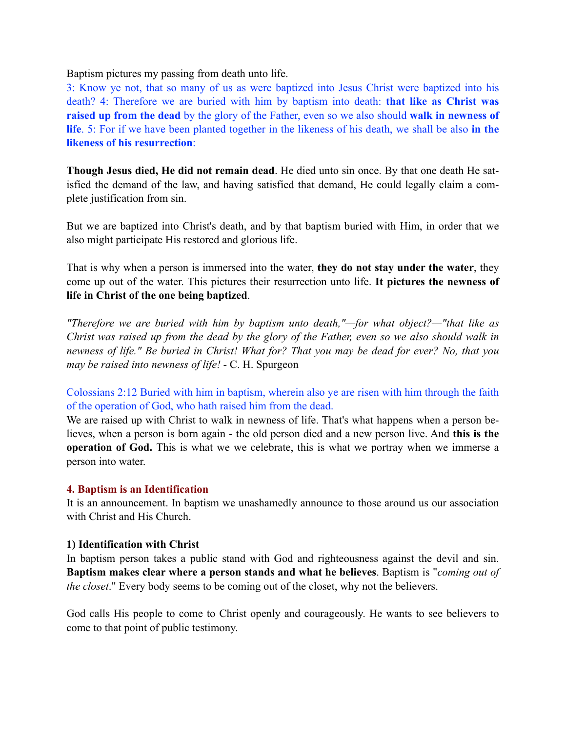Baptism pictures my passing from death unto life.

3: Know ye not, that so many of us as were baptized into Jesus Christ were baptized into his death? 4: Therefore we are buried with him by baptism into death: **that like as Christ was raised up from the dead** by the glory of the Father, even so we also should **walk in newness of life**. 5: For if we have been planted together in the likeness of his death, we shall be also **in the likeness of his resurrection**:

**Though Jesus died, He did not remain dead**. He died unto sin once. By that one death He satisfied the demand of the law, and having satisfied that demand, He could legally claim a complete justification from sin.

But we are baptized into Christ's death, and by that baptism buried with Him, in order that we also might participate His restored and glorious life.

That is why when a person is immersed into the water, **they do not stay under the water**, they come up out of the water. This pictures their resurrection unto life. **It pictures the newness of life in Christ of the one being baptized**.

*"Therefore we are buried with him by baptism unto death,"—for what object?—"that like as Christ was raised up from the dead by the glory of the Father, even so we also should walk in newness of life." Be buried in Christ! What for? That you may be dead for ever? No, that you may be raised into newness of life!* - C. H. Spurgeon

Colossians 2:12 Buried with him in baptism, wherein also ye are risen with him through the faith of the operation of God, who hath raised him from the dead.

We are raised up with Christ to walk in newness of life. That's what happens when a person believes, when a person is born again - the old person died and a new person live. And **this is the operation of God.** This is what we we celebrate, this is what we portray when we immerse a person into water.

## **4. Baptism is an Identification**

It is an announcement. In baptism we unashamedly announce to those around us our association with Christ and His Church.

#### **1) Identification with Christ**

In baptism person takes a public stand with God and righteousness against the devil and sin. **Baptism makes clear where a person stands and what he believes**. Baptism is "*coming out of the closet*." Every body seems to be coming out of the closet, why not the believers.

God calls His people to come to Christ openly and courageously. He wants to see believers to come to that point of public testimony.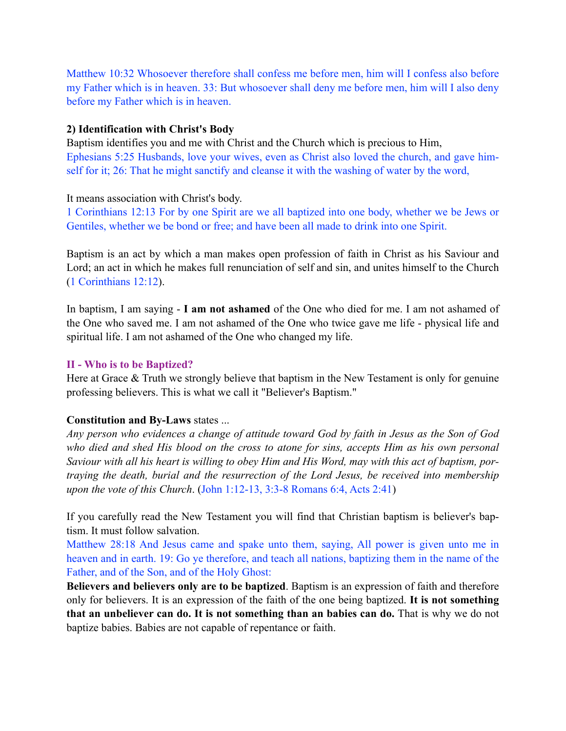Matthew 10:32 Whosoever therefore shall confess me before men, him will I confess also before my Father which is in heaven. 33: But whosoever shall deny me before men, him will I also deny before my Father which is in heaven.

## **2) Identification with Christ's Body**

Baptism identifies you and me with Christ and the Church which is precious to Him, Ephesians 5:25 Husbands, love your wives, even as Christ also loved the church, and gave himself for it; 26: That he might sanctify and cleanse it with the washing of water by the word,

It means association with Christ's body.

1 Corinthians 12:13 For by one Spirit are we all baptized into one body, whether we be Jews or Gentiles, whether we be bond or free; and have been all made to drink into one Spirit.

Baptism is an act by which a man makes open profession of faith in Christ as his Saviour and Lord; an act in which he makes full renunciation of self and sin, and unites himself to the Church (1 Corinthians 12:12).

In baptism, I am saying - **I am not ashamed** of the One who died for me. I am not ashamed of the One who saved me. I am not ashamed of the One who twice gave me life - physical life and spiritual life. I am not ashamed of the One who changed my life.

# **II - Who is to be Baptized?**

Here at Grace & Truth we strongly believe that baptism in the New Testament is only for genuine professing believers. This is what we call it "Believer's Baptism."

# **Constitution and By-Laws** states ...

*Any person who evidences a change of attitude toward God by faith in Jesus as the Son of God*  who died and shed His blood on the cross to atone for sins, accepts Him as his own personal *Saviour with all his heart is willing to obey Him and His Word, may with this act of baptism, portraying the death, burial and the resurrection of the Lord Jesus, be received into membership upon the vote of this Church*. (John 1:12-13, 3:3-8 Romans 6:4, Acts 2:41)

If you carefully read the New Testament you will find that Christian baptism is believer's baptism. It must follow salvation.

Matthew 28:18 And Jesus came and spake unto them, saying, All power is given unto me in heaven and in earth. 19: Go ye therefore, and teach all nations, baptizing them in the name of the Father, and of the Son, and of the Holy Ghost:

**Believers and believers only are to be baptized**. Baptism is an expression of faith and therefore only for believers. It is an expression of the faith of the one being baptized. **It is not something that an unbeliever can do. It is not something than an babies can do.** That is why we do not baptize babies. Babies are not capable of repentance or faith.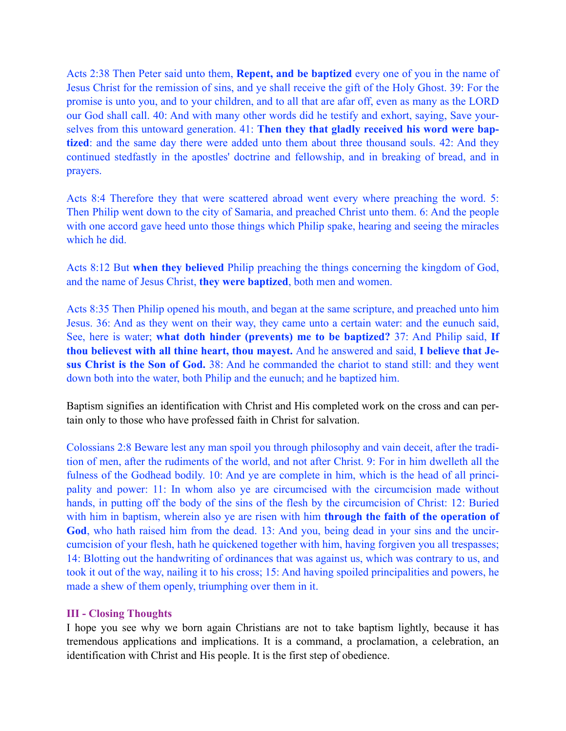Acts 2:38 Then Peter said unto them, **Repent, and be baptized** every one of you in the name of Jesus Christ for the remission of sins, and ye shall receive the gift of the Holy Ghost. 39: For the promise is unto you, and to your children, and to all that are afar off, even as many as the LORD our God shall call. 40: And with many other words did he testify and exhort, saying, Save yourselves from this untoward generation. 41: **Then they that gladly received his word were baptized**: and the same day there were added unto them about three thousand souls. 42: And they continued stedfastly in the apostles' doctrine and fellowship, and in breaking of bread, and in prayers.

Acts 8:4 Therefore they that were scattered abroad went every where preaching the word. 5: Then Philip went down to the city of Samaria, and preached Christ unto them. 6: And the people with one accord gave heed unto those things which Philip spake, hearing and seeing the miracles which he did.

Acts 8:12 But **when they believed** Philip preaching the things concerning the kingdom of God, and the name of Jesus Christ, **they were baptized**, both men and women.

Acts 8:35 Then Philip opened his mouth, and began at the same scripture, and preached unto him Jesus. 36: And as they went on their way, they came unto a certain water: and the eunuch said, See, here is water; **what doth hinder (prevents) me to be baptized?** 37: And Philip said, **If thou believest with all thine heart, thou mayest.** And he answered and said, **I believe that Jesus Christ is the Son of God.** 38: And he commanded the chariot to stand still: and they went down both into the water, both Philip and the eunuch; and he baptized him.

Baptism signifies an identification with Christ and His completed work on the cross and can pertain only to those who have professed faith in Christ for salvation.

Colossians 2:8 Beware lest any man spoil you through philosophy and vain deceit, after the tradition of men, after the rudiments of the world, and not after Christ. 9: For in him dwelleth all the fulness of the Godhead bodily. 10: And ye are complete in him, which is the head of all principality and power: 11: In whom also ye are circumcised with the circumcision made without hands, in putting off the body of the sins of the flesh by the circumcision of Christ: 12: Buried with him in baptism, wherein also ye are risen with him **through the faith of the operation of** God, who hath raised him from the dead. 13: And you, being dead in your sins and the uncircumcision of your flesh, hath he quickened together with him, having forgiven you all trespasses; 14: Blotting out the handwriting of ordinances that was against us, which was contrary to us, and took it out of the way, nailing it to his cross; 15: And having spoiled principalities and powers, he made a shew of them openly, triumphing over them in it.

## **III - Closing Thoughts**

I hope you see why we born again Christians are not to take baptism lightly, because it has tremendous applications and implications. It is a command, a proclamation, a celebration, an identification with Christ and His people. It is the first step of obedience.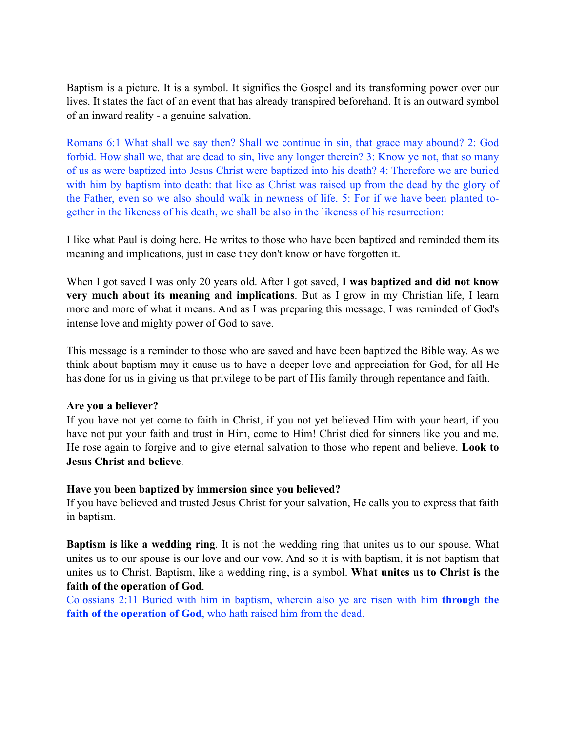Baptism is a picture. It is a symbol. It signifies the Gospel and its transforming power over our lives. It states the fact of an event that has already transpired beforehand. It is an outward symbol of an inward reality - a genuine salvation.

Romans 6:1 What shall we say then? Shall we continue in sin, that grace may abound? 2: God forbid. How shall we, that are dead to sin, live any longer therein? 3: Know ye not, that so many of us as were baptized into Jesus Christ were baptized into his death? 4: Therefore we are buried with him by baptism into death: that like as Christ was raised up from the dead by the glory of the Father, even so we also should walk in newness of life. 5: For if we have been planted together in the likeness of his death, we shall be also in the likeness of his resurrection:

I like what Paul is doing here. He writes to those who have been baptized and reminded them its meaning and implications, just in case they don't know or have forgotten it.

When I got saved I was only 20 years old. After I got saved, **I was baptized and did not know very much about its meaning and implications**. But as I grow in my Christian life, I learn more and more of what it means. And as I was preparing this message, I was reminded of God's intense love and mighty power of God to save.

This message is a reminder to those who are saved and have been baptized the Bible way. As we think about baptism may it cause us to have a deeper love and appreciation for God, for all He has done for us in giving us that privilege to be part of His family through repentance and faith.

## **Are you a believer?**

If you have not yet come to faith in Christ, if you not yet believed Him with your heart, if you have not put your faith and trust in Him, come to Him! Christ died for sinners like you and me. He rose again to forgive and to give eternal salvation to those who repent and believe. **Look to Jesus Christ and believe**.

## **Have you been baptized by immersion since you believed?**

If you have believed and trusted Jesus Christ for your salvation, He calls you to express that faith in baptism.

**Baptism is like a wedding ring**. It is not the wedding ring that unites us to our spouse. What unites us to our spouse is our love and our vow. And so it is with baptism, it is not baptism that unites us to Christ. Baptism, like a wedding ring, is a symbol. **What unites us to Christ is the faith of the operation of God**.

Colossians 2:11 Buried with him in baptism, wherein also ye are risen with him **through the faith of the operation of God**, who hath raised him from the dead.